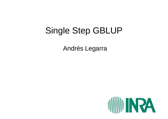# Single Step GBLUP

Andrés Legarra

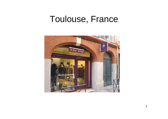#### Toulouse, France

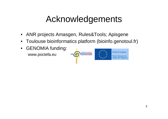# Acknowledgements

- $\bullet$ ANR projects Amasgen, Rules&Tools; Apisgene
- •Toulouse bioinformatics platform (bioinfo.genotoul.fr)
- $\bullet$  GENOMIA funding: www.poctefa.eu

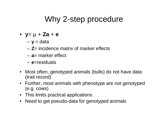#### Why 2-step procedure

- •**y**= µ <sup>+</sup>**Za**+**e**
	- **<sup>y</sup>**= data
	- **Z**= incidence matrix of marker effects
	- –**a**= marker effect
	- –**e**=residuals
- Most often, genotyped animals (bulls) do not have data (trait record)
- Further, most animals with phenotype are not genotyped(e.g. cows)
- This limits practical applications
- Need to get pseudo-data for genotyped animals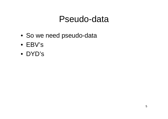- So we need pseudo-data
- EBV's
- DYD's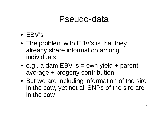- EBV's
- The problem with EBV's is that theyalready share information amongindividuals
- e.g., a dam EBV is = own yield + parent average + progeny contribution
- But we are including information of the sire in the cow, yet not all SNPs of the sire are in the cow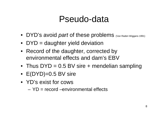- DYD's avoid *part* of these problems (Van Raden Wiggans 1991)
- DYD = daughter yield deviation
- Record of the daughter, corrected by environmental effects and dam's EBV
- Thus DYD = 0.5 BV sire + mendelian sampling
- E(DYD)=0.5 BV sire
- YD's exist for cows
	- – $YD = record -environmental effects$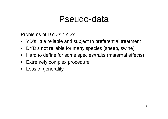Problems of DYD's / YD's

- YD's little reliable and subject to preferential treatment
- $\bullet$ DYD's not reliable for many species (sheep, swine)
- Hard to define for some species/traits (maternal effects)
- Extremely complex procedure
- Loss of generality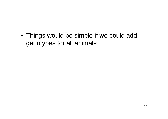• Things would be simple if we could addgenotypes for all animals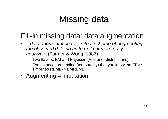# Missing data

#### Fill-in missing data: data augmentation

- « data augmentation refers to a scheme of augmentingthe observed data so as to make it more easy to analyze » (Tanner & Wong, 1987)
	- –Two flavors: EM and Bayesian (Posterior distributions)
	- – For instance: pretending (temporarily) that you know the EBV'ssimplifies REML -> EMREML
- Augmenting = imputation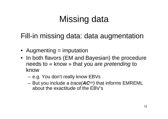# Missing data

Fill-in missing data: data augmentation

- Augmenting = imputation
- In both flavors (EM and Bayesian) the procedureneeds to « know » that you are *pretending* to know
	- –e.g. You don't really know EBVs
	- and the state of the But you include a *trace*( $AC^{uu}$ ) that informs EMREML about the exactitude of the EBV's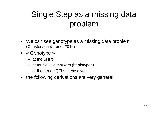## Single Step as a missing data problem

- We can see genotype as a missing data problem(Christensen & Lund, 2010)
- « Genotype » :
	- –at the SNPs
	- –at multiallelic markers (haplotypes)
	- –at the genes/QTLs themselves
- the following derivations are very general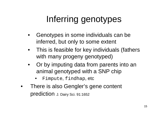# Inferring genotypes

- • Genotypes in some individuals can beinferred, but only to some extent
- This is feasible for key individuals (fatherswith many progeny genotyped)
- • Or by imputing data from parents into an animal genotyped with a SNP chip
	- •Fimpute, findhap, etc
- • There is also Gengler's gene content prediction J. Dairy Sci. 91:1652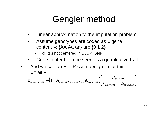# Gengler method

- •Linear approximation to the imputation problem
- $\bullet$  Assume genotypes are coded as « genecontent »:  ${AA$  Aa aa} are  ${0 1 2}$ 
	- •**g**= **<sup>z</sup>**'s not centered in BLUP\_SNP
- •Gene content can be seen as a quantitative trait
- • And we can do BLUP (with pedigree) for this« trait »

$$
\hat{\mathbf{Z}}_{\text{non genotyped}} = \begin{pmatrix} \mathbf{1} & \mathbf{A}_{\text{non genotyped, genotyped}} \mathbf{A}_{\text{genotyped}}^{-1} \end{pmatrix} \begin{pmatrix} \mu_{\text{genotyped}} \\ \mathbf{z}_{\text{genotyped}} - \mathbf{1}\mu_{\text{genotyped}} \end{pmatrix}
$$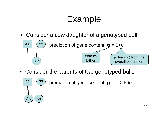# Example

• Consider a cow daughter of a genotyped bull



• Consider the parents of two genotyped bulls



prediction of gene content:  $g_{ii}$ = 1-0.66p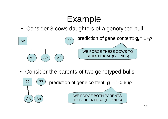# Example

• Consider 3 cows daughters of a genotyped bull



• Consider the parents of two genotyped bulls

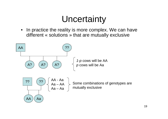# **Uncertainty**

 $\bullet$ In practice the reality is more complex. We can have different « solutions » that are mutually exclusive

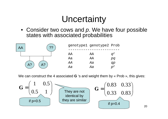# **Uncertainty**

• Consider two cows and p. We have four possible states with associated probabilities



We can construct the 4 associated **<sup>G</sup>** 's and weight them by « Prob », this gives:



20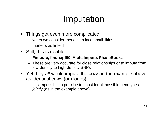# Imputation

- Things get even more complicated
	- –when we consider mendelian incompatibilities
	- –markers as linked
- Still, this is doable:
	- –**Fimpute, findhapf90, AlphaImpute, PhaseBook**…
	- TIPLA 218 VAIV 217 III 218 II II IN SEPTANTING III IL These are very accurate for close relationships or to impute fromlow-density to high-density SNPs
- Yet they all would impute the cows in the example above as identical cows (or clones)
	- – It is impossible in practice to consider all possible genotypesjointly (as in the example above)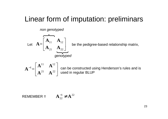#### Linear form of imputation: preliminars

non genotyped



Let  $\left. \mathbf{A=}\right\vert$  ,  $\left. \right\vert$  be the pedigree-based relationship matrix,

$$
\mathbf{A}^{-1} = \begin{bmatrix} \mathbf{A}^{11} & \mathbf{A}^{12} \\ \mathbf{A}^{21} & \mathbf{A}^{22} \end{bmatrix}
$$

can be constructed using Henderson's rules and is used in regular BLUP

$$
\mathsf{REMEMBER} :: \mathbf{A}_{22}^{-1} \neq \mathbf{A}^{22}
$$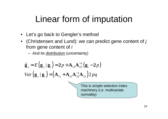# Linear form of imputation

- Let's go back to Gengler's method
- $\bullet\;$  (Christensen and Lund): we can predict gene content of  $j$ from gene content of *i* 
	- –And its **distribution** (uncertainty)

$$
\hat{\mathbf{g}}_j = E\left(\mathbf{g}_j \mid \mathbf{g}_i\right) = 2p + \mathbf{A}_{12} \mathbf{A}_{22}^{-1} \left(\mathbf{g}_i - 2p\right)
$$
  
Var $\left(\mathbf{g}_j \mid \mathbf{g}_i\right) = \left(\mathbf{A}_{11} + \mathbf{A}_{12} \mathbf{A}_{22}^{-1} \mathbf{A}_{21}\right) 2pq$ 

This is simple selection index machinery (i.e. multivariatenormality)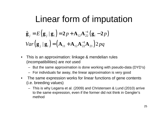### Linear form of imputation

$$
\hat{\mathbf{g}}_j = E\left(\mathbf{g}_j \mid \mathbf{g}_i\right) = 2p + \mathbf{A}_{12} \mathbf{A}_{22}^{-1} \left(\mathbf{g}_i - 2p\right)
$$
  
Var $\left(\mathbf{g}_j \mid \mathbf{g}_i\right) = \left(\mathbf{A}_{11} + \mathbf{A}_{12} \mathbf{A}_{22}^{-1} \mathbf{A}_{21}\right) 2pq$ 

- • This is an approximation: linkage & mendelian rules(incompatibilities) are *not* used
	- But the same approximation is done working with pseudo-data (DYD's)
	- For individuals far away, the linear approximation is very good
- $\bullet$ The same expression works for linear functions of gene contents (i.e. breeding values)
	- This is why Legarra et al. (2009) and Christensen & Lund (2010) arrive to the same expression, even if the former did not think in Gengler'smethod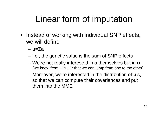# Linear form of imputation

• Instead of working with individual SNP effects, we will define

#### –**u**=**Za**

- –i.e., the genetic value is the sum of SNP effects
- – We're not really interested in **a** themselves but in **u**(we know from GBLUP that we can jump from one to the other)
- – Moreover, we're interested in the distribution of **u**'s, so that we can compute their covariances and put them into the MME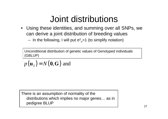- Using these identities, and summing over all SNPs, wecan derive a joint distribution of breeding values
	- In the following, I will put  $\sigma^2$  $\rm{^2_{u}}$ =1 (to simplify notation)

Unconditional distribution of genetic values of Genotyped individuals(GBLUP)

 $p(\mathbf{u}_2) = N(\mathbf{0}, \mathbf{G})$ )= $({\bf 0}, {\bf G})$  and

There is an assumption of normality of the distributions which implies no major genes… as in pedigree BLUP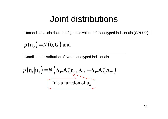Unconditional distribution of genetic values of Genotyped individuals (GBLUP)

 $p(\mathbf{u}_2) = N(\mathbf{0}, \mathbf{G})$ )= $({\bf 0}, {\bf G})$  and

Conditional distribution of Non-Genotyped individuals

$$
p(\mathbf{u}_1|\mathbf{u}_2) = N(\mathbf{A}_{12}\mathbf{A}_{22}^{-1}\mathbf{u}_2, \mathbf{A}_{11} - \mathbf{A}_{12}\mathbf{A}_{22}^{-1}\mathbf{A}_{21})
$$
  
It is a function of  $\mathbf{u}_2$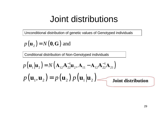Unconditional distribution of genetic values of Genotyped individuals

 $p(\mathbf{u}_2) = N(\mathbf{0}, \mathbf{G})$ )= $({\bf 0}, {\bf G})$  and

Conditional distribution of Non-Genotyped individuals

$$
p(\mathbf{u}_1|\mathbf{u}_2) = N(\mathbf{A}_{12}\mathbf{A}_{22}^{-1}\mathbf{u}_2, \mathbf{A}_{11} - \mathbf{A}_{12}\mathbf{A}_{22}^{-1}\mathbf{A}_{21})
$$
  
 
$$
p(\mathbf{u}_1, \mathbf{u}_2) = p(\mathbf{u}_2) p(\mathbf{u}_1|\mathbf{u}_2)
$$
Joint distribution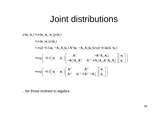$$
p(\mathbf{u}_{1}, \mathbf{u}_{2}) = p(\mathbf{u}_{1}, \mathbf{u}_{2})p(\mathbf{u}_{2})
$$
  
\n
$$
= p(\mathbf{u}_{1} | \mathbf{u}_{2})p(\mathbf{u}_{2})
$$
  
\n
$$
\propto \exp[-0.5(\mathbf{u}_{1} - \mathbf{A}_{12}\mathbf{A}_{22}^{-1}\mathbf{u}_{2})'\mathbf{A}^{11}(\mathbf{u}_{1} - \mathbf{A}_{12}\mathbf{A}_{22}^{-1}\mathbf{u}_{2})]\exp[-0.5\mathbf{u}_{2}'\mathbf{G}^{-1}\mathbf{u}_{2}]
$$
  
\n
$$
= \exp\left(-0.5\begin{bmatrix} \mathbf{u}_{1}' & \mathbf{u}_{2}' \end{bmatrix}\begin{bmatrix} \mathbf{A}^{11} & -\mathbf{A}^{11}\mathbf{A}_{12}\mathbf{A}_{22}^{-1} \\ -\mathbf{A}_{22}^{-1}\mathbf{A}_{21}\mathbf{A}^{11} & \mathbf{G}^{-1} + \mathbf{A}_{22}^{-1}\mathbf{A}_{21}\mathbf{A}^{11}\mathbf{A}_{12}\mathbf{A}_{22}^{-1} \end{bmatrix}\begin{bmatrix} \mathbf{u}_{1} \\ \mathbf{u}_{2} \end{bmatrix}\right)
$$
  
\n
$$
= \exp\left(-0.5\begin{bmatrix} \mathbf{u}_{1}' & \mathbf{u}_{2}' \end{bmatrix}\begin{bmatrix} \mathbf{A}^{11} & \mathbf{A}^{12} \\ \mathbf{A}^{21} & \mathbf{G}^{-1} + \mathbf{A}^{22} - \mathbf{A}_{22}^{-1} \end{bmatrix}\begin{bmatrix} \mathbf{u}_{1} \\ \mathbf{u}_{2} \end{bmatrix}\right).
$$

…for those inclined to algebra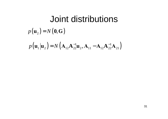#### Joint distributions $p(\mathbf{u}_2) = N(\mathbf{0}, \mathbf{G})$ )= $\big(\mathbf{0}, \mathbf{G}\big)$ ()() $p(\mathbf{u}_1 | \mathbf{u}_2) = N(\mathbf{A}_{12} \mathbf{A}_{22}^{-1} \mathbf{u}_2, \mathbf{A}_{11} - \mathbf{A}_{12} \mathbf{A}_{22}^{-1} \mathbf{A}_{21})$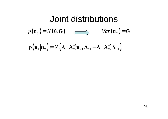#### Joint distributions $p(\mathbf{u}_2) = N(\mathbf{0}, \mathbf{G})$ )= $(0, G)$   $Var(\mathbf{u}_2) = G$ ()() $p(\mathbf{u}_1 | \mathbf{u}_2) = N(\mathbf{A}_{12} \mathbf{A}_{22}^{-1} \mathbf{u}_2, \mathbf{A}_{11} - \mathbf{A}_{12} \mathbf{A}_{22}^{-1} \mathbf{A}_{21})$  $2J$ )=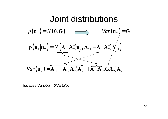

because Var(**aX**) = **X**Var(**a**)**X**'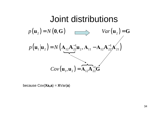

because Cov(**Xa,a**) = **X**Var(**a**)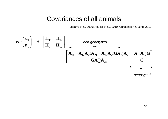#### Covariances of all animals

Legarra et al. 2009; Aguilar et al., 2010; Christensen & Lund, 2010

$$
Var\left(\begin{array}{c}\n\mathbf{u}_{1} \\
\mathbf{u}_{2}\n\end{array}\right) = \mathbf{H} = \left[\begin{array}{ccc}\n\mathbf{H}_{11} & \mathbf{H}_{12} \\
\mathbf{H}_{21} & \mathbf{H}_{22}\n\end{array}\right] = \frac{non genotyped}{\left[\mathbf{A}_{11} - \mathbf{A}_{12}\mathbf{A}_{22}^{-1}\mathbf{A}_{21} + \mathbf{A}_{12}\mathbf{A}_{22}^{-1}\mathbf{G}\mathbf{A}_{22}^{-1}\mathbf{A}_{21} \quad \mathbf{A}_{12}\mathbf{A}_{22}^{-1}\mathbf{G}\right]}
$$

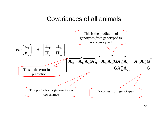#### Covariances of all animals

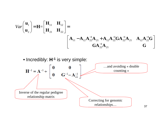$$
Var\left(\begin{array}{c}\n\mathbf{u}_{1} \\
\mathbf{u}_{2}\n\end{array}\right) = \mathbf{H} = \begin{bmatrix}\n\mathbf{H}_{11} & \mathbf{H}_{12} \\
\mathbf{H}_{21} & \mathbf{H}_{22}\n\end{bmatrix} = \begin{bmatrix}\n\mathbf{A}_{11} - \mathbf{A}_{12}\mathbf{A}_{22}^{-1}\mathbf{A}_{21} + \mathbf{A}_{12}\mathbf{A}_{22}^{-1}\mathbf{G}\mathbf{A}_{22}^{-1}\mathbf{A}_{21} & \mathbf{A}_{12}\mathbf{A}_{22}^{-1}\mathbf{G} \\
\mathbf{G}\mathbf{A}_{22}^{-1}\mathbf{A}_{21} & \mathbf{G}\n\end{bmatrix}
$$

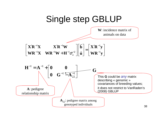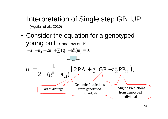# Interpretation of Single step GBLUP

(Aguilar et al., 2010)

• Consider the equation for a genotypedyoung bull -> one row of **H**-1  $\sum_{s}$  – u<sub>d</sub> + 2u<sub>i</sub> +  $\sum_{j}$  (g<sup>ij</sup> – a<sup>ij</sup><sub>22</sub>)u<sub>j</sub>  $-u_s - u_d + 2u_i + \sum_j (g^{ij} - a_{22}^{ij})u_j = 0,$  $(2PA + g^{ii}GP - a_{22}^{ii}PP_{22}),$  $\frac{1}{2}$  2 + (g<sup>ii</sup> - a<sup>ii</sup><sub>22</sub>) 1 $u_i = \frac{1}{2 + (g^{ii} - a_{22}^{ii})} \left( \frac{2PA + g^{ii}GP - a_{22}^{ii}PP_{22}}{\sqrt{1 - a_{22}^{ii}P_{22}^2}} \right),$ Parent averageGenomic Predictionsfrom genotypedindividualsPedigree Predictionsfrom genotypedindividuals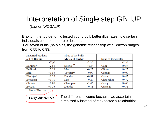#### Interpretation of Single step GBLUP

(Lawlor, WCGALP)

Braxton, the top genomic tested young bull, better illustrates how certain individuals contribute more or less. …

 For seven of his (half) sibs, the genomic relationship with Braxton ranges from 0.55 to 0.93.

| Maternal brothers |                   | Sires of the bulls     |                   |  |                    |                   |  |
|-------------------|-------------------|------------------------|-------------------|--|--------------------|-------------------|--|
| out of Barbie     |                   | <b>Mates of Barbie</b> |                   |  | Sons of Cinderella |                   |  |
|                   | $a^{ij}$ $g^{ij}$ |                        | $a^{ij}$ $g^{ij}$ |  |                    | $a^{ij}$ $g^{ij}$ |  |
| <b>Baltimor</b>   | $+2.56$           | **<br>Shottle          | $+0.84$           |  | Cade               | $+0.54$           |  |
| Bedford           | $+2.28$           | Mac                    | $-0.27$           |  | Clinto             | $+0.27$           |  |
| <b>Birk</b>       | $+1.53$           | Toystory               | $-0.97$           |  | Capture            | $+0.09$           |  |
| Blackjack         | $+1.23$           | Dundee                 | $-0.81$           |  | Casino             | $+0.47$           |  |
| Bossman           | $+1.10$           | Mac                    | $-0.27$           |  | Chancellor         | $+0.72$           |  |
| Chilton           | $+0.89$           | Champion               | $-1.46$           |  | Casey              | $+0.63$           |  |
| Bonzai            | $+0.53$           | Dundee                 | $-0.81$           |  | Carriage           | $+0.36$           |  |

Sire of Braxton

Large differences

The differences come because we ascertain realized » instead of « expected » relationhips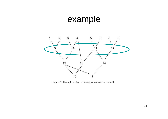## example



Figure 1. Example pedigree. Genotyped animals are in bold.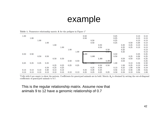#### example

Table 1. Numerator relationship matrix A for the pedigree in Figure  $1<sup>1</sup>$ 

| 1.00 | 1.00 | 1.00 |      |      |      |      |      | 0.50<br>0.50 | 0.50 |      |          | 0.25<br>0.25<br>0.25 |      |      | 0.13<br>0.13<br>0.13 | 0.13<br>0.13<br>0.13 |
|------|------|------|------|------|------|------|------|--------------|------|------|----------|----------------------|------|------|----------------------|----------------------|
|      |      |      | 1.00 |      |      |      |      |              | 0.50 |      |          | 0.25                 |      | 0.50 | 0.38                 | $0.13\,$             |
|      |      |      |      | 1.00 |      |      |      |              |      | 0.50 |          |                      | 0.25 | 0.25 | 0.13                 | 0.13                 |
|      |      |      |      |      | 1.00 |      |      |              |      | 0.50 |          |                      | 0.25 | 0.25 | 0.13                 | 0.13                 |
|      |      |      |      |      |      | 1.00 |      |              |      |      | 0.50     |                      | 0.25 |      |                      | 0.13                 |
|      |      |      |      |      |      |      | 1.00 |              |      |      | v. v. v  |                      | 0.25 |      |                      | 0.13                 |
| 0.50 | 0.50 |      |      |      |      |      |      | $1.00\,$     |      |      |          | 0.50                 |      |      | 0.25                 | 0.25                 |
|      |      | 0.50 | 0.50 |      |      |      |      |              | 1.00 |      |          | 0.50                 |      | 0.25 | 0.38                 | 0.25                 |
|      |      |      |      | 0.50 | 0.50 |      |      |              |      | 1.00 |          |                      | 0.50 | 0.50 | 0.25                 | 0.25                 |
|      |      |      |      |      |      | 0.50 | 0.50 |              |      |      | $1.00\,$ |                      | 0.50 |      |                      | 0.25                 |
| 0.25 | 0.25 | 0.25 | 0.25 |      |      |      |      | v.ov         | v.ov |      |          | 1.00                 |      | 0.13 | 0.56                 | 0.50                 |
|      |      |      |      | 0.25 | 0.25 | 0.25 | 0.25 |              |      | 0.50 | 0.50     |                      | 1.00 | 0.25 | 0.13                 | 0.50                 |
|      |      |      | 0.50 | 0.25 | 0.25 |      |      |              | 0.25 | 0.50 |          | 0.13                 | 0.25 | 1.00 | 0.56                 | 0.19                 |
| 0.13 | 0.13 | 0.13 | 0.38 | 0.13 | 0.13 |      |      | 0.25         | 0.38 | 0.25 |          | 0.56                 | 0.13 | 0.56 | 1.06                 | 0.34                 |
| 0.13 | 0.13 | 0.13 | 0.13 | 0.13 | 0.13 | 0.13 | 0.13 | 0.25         | 0.25 | 0.25 | 0.25     | 0.50                 | 0.50 | 0.19 | 0.34                 | 1.00                 |

<sup>1</sup>Cells with 0 are empty to show the pattern. Coefficients for genotyped animals are in bold. Matrix  $A_g$  is obtained by setting the out-of-diagonal coefficients of genotyped animals to 0.7.

This is the regular relationship matrix. Assume now that animals 9 to 12 have a genomic relationship of 0.7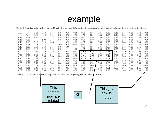#### example

|      | Table 3. Modified relationship matrix H including genomic information for genotyped animals and all relatives for the pedigree in Figure 1 <sup>+</sup> |              |              |              |              |              |              |              |              |              |                   |              |              |              |              |              |
|------|---------------------------------------------------------------------------------------------------------------------------------------------------------|--------------|--------------|--------------|--------------|--------------|--------------|--------------|--------------|--------------|-------------------|--------------|--------------|--------------|--------------|--------------|
| 1.00 | $1.00\,$                                                                                                                                                | 0.18<br>0.18 | 0.18<br>0.18 | 0.18<br>0.18 | 0.18<br>0.18 | 0.18<br>0.18 | 0.18<br>0.18 | 0.50<br>0.50 | 0.35<br>0.35 | 0.35<br>0.35 | $_{0.35}$<br>0.35 | 0.43<br>0.43 | 0.35<br>0.35 | 0.26<br>0.26 | 0.34<br>0.34 | 0.39<br>0.39 |
| 0.18 | 0.18                                                                                                                                                    | $1.00\,$     |              | 0.18         | 0.18         | 0.18         | 0.18         | 0.35         | 0.50         | 0.35         | 0.35              | 0.43         | 0.35         | 0.18         | 0.30         | 0.39         |
| 0.18 | 0.18                                                                                                                                                    |              | $1.00\,$     | 0.18         | 0.18         | 0.18         | 0.18         | 0.35         | 0.50         | 0.35         | 0.35              | 0.43         | 0.35         | 0.68         | 0.55         | 0.39         |
| 0.18 | 0.18                                                                                                                                                    | 0.18         | 0.18         | 1.00         |              | 0.18         | 0.18         | 0.35         | 0.35         | 0.50         | 0.35              | 0.35         | 0.43         | $\rm 0.34$   | 0.34         | 0.39         |
| 0.18 | 0.18                                                                                                                                                    | 0.18         | 0.18         |              | 1.00         | 0.18         | 0.18         | 0.35         | 0.35         | 0.50         | 0.35              | 0.35         | 0.43         | $0.34\,$     | 0.34         | 0.39         |
| 0.18 | 0.18                                                                                                                                                    | 0.18         | 0.18         | 0.18         | 0.18         | 1.00         |              | 0.35         | 0.35         | 0.35         | 0.50              | 0.35         | 0.43         | 0.26         | 0.31         | 0.39         |
| 0.18 | 0.18                                                                                                                                                    | 0.18         | 0.18         | 0.18         | 0.18         |              | 1.00         | 0.35         | 0.35         | 0.35         | 0.50              | 0.35         | 0.43         | 0.26         | 0.31         | 0.39         |
| 0.50 | 0.50                                                                                                                                                    | $0.35\,$     | $\rm 0.35$   | 0.35         | $0.35\,$     | 0.35         | 0.35         | $1.00\,$     | 0.70         | 0.70         | 0.70              | 0.85         | 0.70         | 0.53         | 0.69         | 0.78         |
| 0.35 | $0.35\,$                                                                                                                                                | 0.50         | 0.50         | 0.35         | 0.35         | $0.35\,$     | 0.35         | 0.70         | $1.00\,$     | 0.70         | 0.70              | 0.85         | 0.70         | 0.60         | 0.73         | 0.78         |
| 0.35 | 0.35                                                                                                                                                    | $0.35\,$     | $0.35\,$     | 0.50         | 0.50         | 0.35         | 0.35         | 0.70         | 0.70         | $1.00\,$     | 0.70              | 0.70         | 0.85         | 0.68         | 0.69         | 0.78         |
| 0.35 | $0.35\,$                                                                                                                                                | 0.35         | $0.35\,$     | 0.35         | 0.35         | 0.50         | 0.50         | 0.70         | 0.70         | 0.70         | $1.00\,$          | 0.70         | 0.85         | 0.53         | 0.61         | 0.78         |
| 0.43 | 0.43                                                                                                                                                    | 0.43         | 0.43         | 0.35         | 0.35         | 0.35         | 0.35         | v.ov         | v.ov         | 0.10         | <b>v.rv</b>       | $_{1.35}$    | 0.70         | $0.56\,$     | 0.96         | $1.03\,$     |
| 0.35 | $0.35\,$                                                                                                                                                | 0.35         | $0.35\,$     | 0.43         | 0.43         | 0.43         | 0.43         | 0.70         | 0.70         | 0.85         | 0.85              | 0.70         | $_{1.35}$    | $_{0.60}$    | 0.65         | 1.03         |
| 0.26 | 0.26                                                                                                                                                    | 0.18         | 0.68         | 0.34         | 0.34         | 0.26         | 0.26         | 0.53         | 0.60         | 0.68         | 0.53              | 0.56         | 0.60         | 1.18         | 0.87         | 0.58         |
| 0.34 | 0.34                                                                                                                                                    | 0.30         | 0.55         | 0.34         | 0.34         | 0.31         | 0.31         | 0.69         | 0.73         | 0.69         | 0.61              | 0.96         | 0.65         | 0.87         | 1.41         | 0.80         |
| 0.39 | $_{0.39}$                                                                                                                                               | 0.39         | 0.39         | 0.39         | 0.39         | 0.39         | 0.39         | 0.78         | 0.78         | 0.78         | 0.78              | $1.03\,$     | $_{1.03}$    | 0.58         | 0.80         | 1.53         |
|      |                                                                                                                                                         |              |              |              |              |              |              |              |              |              |                   |              |              |              |              |              |

<sup>1</sup>Cells with 0 are empty to show the pattern. Coefficients for genotyped animals are in bold.

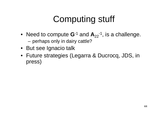# Computing stuff

- Need to compute  $\mathbf{G}$ <sup>-1</sup> and  $\mathbf{A}_{22}$ <sup>-1</sup>, is a challenge. and the state of the perhaps only in dairy cattle?
- But see Ignacio talk
- Future strategies (Legarra & Ducrocq, JDS, in press)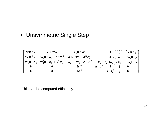• Unsymmetric Single Step

 $\begin{array}{cc} \mathbf{X}_1' \mathbf{R}^{-1} \mathbf{X} & \mathbf{X}_1' \mathbf{R}^{-1} \mathbf{W}_1 & \mathbf{X}_2' \mathbf{R}^{-1} \mathbf{W}_2 & \mathbf{0} & \mathbf{0} \ \mathbf{X}_1 \mathbf{R}^{-1} \mathbf{X}_1 & \mathbf{W}_1' \mathbf{R}^{-1} \mathbf{W}_1 + \mathbf{A}^{11} \sigma_u^{-2} & \mathbf{W}_1' \mathbf{R}^{-1} \mathbf{W}_2 + \mathbf{A}^{12} \sigma_u^{-2} & \mathbf{0} & \cdots \mathbf{0} \$  $\begin{bmatrix} 1 & 0 & 0 \ 0 & 0 & 0 \ 0 & 0 & 0 \end{bmatrix}$   $\begin{bmatrix} 1 & 0 & 0 \ 0 & 1 & 0 \ 0 & 0 & 0 \end{bmatrix}$   $\begin{bmatrix} 1 & 0 & 0 \ 0 & 0 & 0 \ 0 & 0 & 0 \end{bmatrix}$   $\begin{bmatrix} 1 & 0 & 0 \ 0 & 0 & 0 \ 0 & 0 & 0 \end{bmatrix}$   $\begin{bmatrix} 1 & 0 & 0 \ 0 & 0 & 0 \ 0 & 0 & 0 \end{bmatrix}$   $\begin{bmatrix} 1 & 0 & 0 \$ ˆˆ ˆ $\lambda$  ˆ $u$   $v_1$   $v_2$   $v_3$   $v_4$  $u^{u}$  *u u u i u i u i u*  $u$   $22 - u$  $u = u$  $\begin{bmatrix} \mathbf{X}'\mathbf{R}^{-1}\mathbf{X} & \mathbf{X}_1'\mathbf{R}^{-1}\mathbf{W}_1 & \mathbf{X}_2'\mathbf{R}^{-1}\mathbf{W}_2 & \mathbf{0} & \mathbf{0} \\ \mathbf{W}_1\mathbf{R}^{-1}\mathbf{X}_1 & \mathbf{W}_1'\mathbf{R}^{-1}\mathbf{W}_1 + \mathbf{A}^{11}\sigma_u^{-2} & \mathbf{W}_1'\mathbf{R}^{-1}\mathbf{W}_2 + \mathbf{A}^{12}\sigma_u^{-2} & \mathbf{0} & \mathbf{0} \\ \mathbf{W}_2\mathbf{R}^{-1}\mathbf$ 

This can be computed efficiently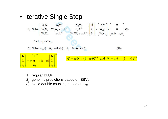• Iterative Single Step

1) Solve  $\begin{bmatrix} X'X & X'_1W_1 & X'_2W_2 \ W'_1X_1 & W'_1W_1 + \alpha_u A^{11} & \alpha_u A^{12} \ W'_2X_2 & \alpha_u A^{21} & W'_2W_2 + \alpha_u A^{22} \end{bmatrix} \begin{bmatrix} \hat{\mathbf{b}} \\ \hat{\mathbf{u}}_1 \\ \hat{\mathbf{u}}_2 \end{bmatrix} = \begin{bmatrix} X'y \\ W'_1y_1 \\ W'_2y_2 \end{bmatrix} + \begin{bmatrix} 0 \\ 0 \\ \alpha_u \hat{\varphi} - \alpha_u \hat{\gamma} \end{bmatrix}$ (9) for **b**,  $\mathbf{u}_1$  and  $\mathbf{u}_2$ 

2) Solve 
$$
A_{22} \hat{\phi} = \hat{u}_2
$$
 and  $G \hat{\gamma} = \hat{u}_2$  for  $\hat{\phi}$  and  $\hat{\gamma}$ 

| $\Box$                              |                                   | $\mathbf{b}$         |                                 |                      |
|-------------------------------------|-----------------------------------|----------------------|---------------------------------|----------------------|
| $\left(\hat{\mathbf{u}}_1\right)^T$ | $=$ $\omega \hat{u}$ <sub>1</sub> |                      | $+(1-\omega)\hat{\mathbf{u}}_1$ |                      |
| $ \hat{\mathbf{u}}_2 $              |                                   | $\hat{\mathbf{u}}_2$ |                                 | $\hat{\mathbf{u}}_2$ |

$$
\hat{\varphi}^t = \omega \hat{\varphi}^* + (1 - \omega) \hat{\varphi}^{t-1}
$$
 and  $\hat{\gamma}^t = \omega \hat{\gamma}^* + (1 - \omega) \hat{\gamma}^{t-1}$ 

 $(10)$ 

- 1) regular BLUP
- 2) genomic predictions based on EBVs
- 3)  $\,$  avoid double counting based on  ${\sf A}^{\,}_{22}$